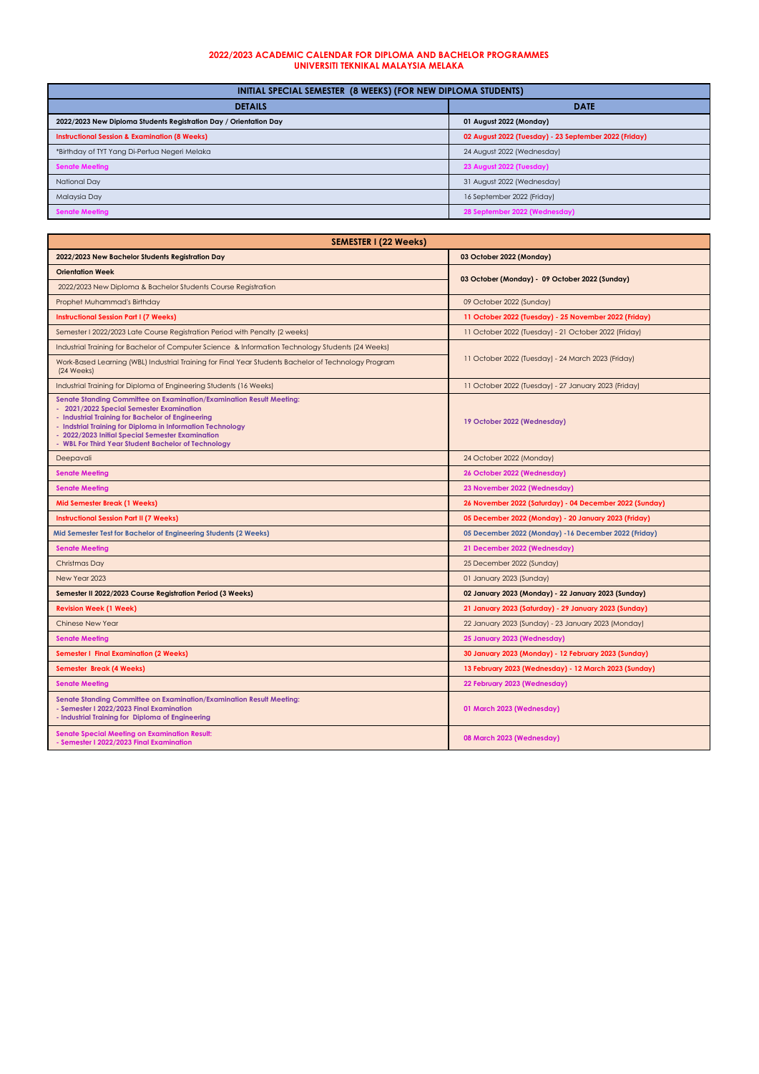| INITIAL SPECIAL SEMESTER (8 WEEKS) (FOR NEW DIPLOMA STUDENTS)     |                                                       |
|-------------------------------------------------------------------|-------------------------------------------------------|
| <b>DETAILS</b>                                                    | <b>DATE</b>                                           |
| 2022/2023 New Diploma Students Registration Day / Orientation Day | 01 August 2022 (Monday)                               |
| <b>Instructional Session &amp; Examination (8 Weeks)</b>          | 02 August 2022 (Tuesday) - 23 September 2022 (Friday) |
| *Birthday of TYT Yang Di-Pertua Negeri Melaka                     | 24 August 2022 (Wednesday)                            |
| <b>Senate Meeting</b>                                             | 23 August 2022 (Tuesday)                              |
| National Day                                                      | 31 August 2022 (Wednesday)                            |
| <b>Malaysia Day</b>                                               | 16 September 2022 (Friday)                            |
| <b>Senate Meeting</b>                                             | 28 September 2022 (Wednesday)                         |

| <b>SEMESTER I (22 Weeks)</b>                                                                                                                                                                                                                                                                                                                   |                                                         |  |
|------------------------------------------------------------------------------------------------------------------------------------------------------------------------------------------------------------------------------------------------------------------------------------------------------------------------------------------------|---------------------------------------------------------|--|
| 2022/2023 New Bachelor Students Registration Day                                                                                                                                                                                                                                                                                               | 03 October 2022 (Monday)                                |  |
| <b>Orientation Week</b>                                                                                                                                                                                                                                                                                                                        | 03 October (Monday) - 09 October 2022 (Sunday)          |  |
| 2022/2023 New Diploma & Bachelor Students Course Registration                                                                                                                                                                                                                                                                                  |                                                         |  |
| Prophet Muhammad's Birthday                                                                                                                                                                                                                                                                                                                    | 09 October 2022 (Sunday)                                |  |
| <b>Instructional Session Part I (7 Weeks)</b>                                                                                                                                                                                                                                                                                                  | 11 October 2022 (Tuesday) - 25 November 2022 (Friday)   |  |
| Semester I 2022/2023 Late Course Registration Period with Penalty (2 weeks)                                                                                                                                                                                                                                                                    | 11 October 2022 (Tuesday) - 21 October 2022 (Friday)    |  |
| Industrial Training for Bachelor of Computer Science & Information Technology Students (24 Weeks)                                                                                                                                                                                                                                              | 11 October 2022 (Tuesday) - 24 March 2023 (Friday)      |  |
| Work-Based Learning (WBL) Industrial Training for Final Year Students Bachelor of Technology Program<br>(24 Weeks)                                                                                                                                                                                                                             |                                                         |  |
| Industrial Training for Diploma of Engineering Students (16 Weeks)                                                                                                                                                                                                                                                                             | 11 October 2022 (Tuesday) - 27 January 2023 (Friday)    |  |
| Senate Standing Committee on Examination/Examination Result Meeting:<br>- 2021/2022 Special Semester Examination<br>- Industrial Training for Bachelor of Engineering<br>- Indstrial Training for Diploma in Information Technology<br>- 2022/2023 Initial Special Semester Examination<br>- WBL For Third Year Student Bachelor of Technology | 19 October 2022 (Wednesday)                             |  |
| Deepavali                                                                                                                                                                                                                                                                                                                                      | 24 October 2022 (Monday)                                |  |
| <b>Senate Meeting</b>                                                                                                                                                                                                                                                                                                                          | 26 October 2022 (Wednesday)                             |  |
| <b>Senate Meeting</b>                                                                                                                                                                                                                                                                                                                          | 23 November 2022 (Wednesday)                            |  |
| <b>Mid Semester Break (1 Weeks)</b>                                                                                                                                                                                                                                                                                                            | 26 November 2022 (Saturday) - 04 December 2022 (Sunday) |  |
| <b>Instructional Session Part II (7 Weeks)</b>                                                                                                                                                                                                                                                                                                 | 05 December 2022 (Monday) - 20 January 2023 (Friday)    |  |
| Mid Semester Test for Bachelor of Engineering Students (2 Weeks)                                                                                                                                                                                                                                                                               | 05 December 2022 (Monday) -16 December 2022 (Friday)    |  |
| <b>Senate Meeting</b>                                                                                                                                                                                                                                                                                                                          | 21 December 2022 (Wednesday)                            |  |
| Christmas Day                                                                                                                                                                                                                                                                                                                                  | 25 December 2022 (Sunday)                               |  |
| New Year 2023                                                                                                                                                                                                                                                                                                                                  | 01 January 2023 (Sunday)                                |  |
| Semester II 2022/2023 Course Registration Period (3 Weeks)                                                                                                                                                                                                                                                                                     | 02 January 2023 (Monday) - 22 January 2023 (Sunday)     |  |
| <b>Revision Week (1 Week)</b>                                                                                                                                                                                                                                                                                                                  | 21 January 2023 (Saturday) - 29 January 2023 (Sunday)   |  |
| <b>Chinese New Year</b>                                                                                                                                                                                                                                                                                                                        | 22 January 2023 (Sunday) - 23 January 2023 (Monday)     |  |
| <b>Senate Meeting</b>                                                                                                                                                                                                                                                                                                                          | 25 January 2023 (Wednesday)                             |  |
| <b>Semester I Final Examination (2 Weeks)</b>                                                                                                                                                                                                                                                                                                  | 30 January 2023 (Monday) - 12 February 2023 (Sunday)    |  |
| Semester Break (4 Weeks)                                                                                                                                                                                                                                                                                                                       | 13 February 2023 (Wednesday) - 12 March 2023 (Sunday)   |  |
| <b>Senate Meeting</b>                                                                                                                                                                                                                                                                                                                          | 22 February 2023 (Wednesday)                            |  |
| Senate Standing Committee on Examination/Examination Result Meeting:<br>- Semester I 2022/2023 Final Examination<br>- Industrial Training for Diploma of Engineering                                                                                                                                                                           | 01 March 2023 (Wednesday)                               |  |
| <b>Senate Special Meeting on Examination Result:</b><br>- Semester I 2022/2023 Final Examination                                                                                                                                                                                                                                               | 08 March 2023 (Wednesday)                               |  |

## **2022/2023 ACADEMIC CALENDAR FOR DIPLOMA AND BACHELOR PROGRAMMES UNIVERSITI TEKNIKAL MALAYSIA MELAKA**